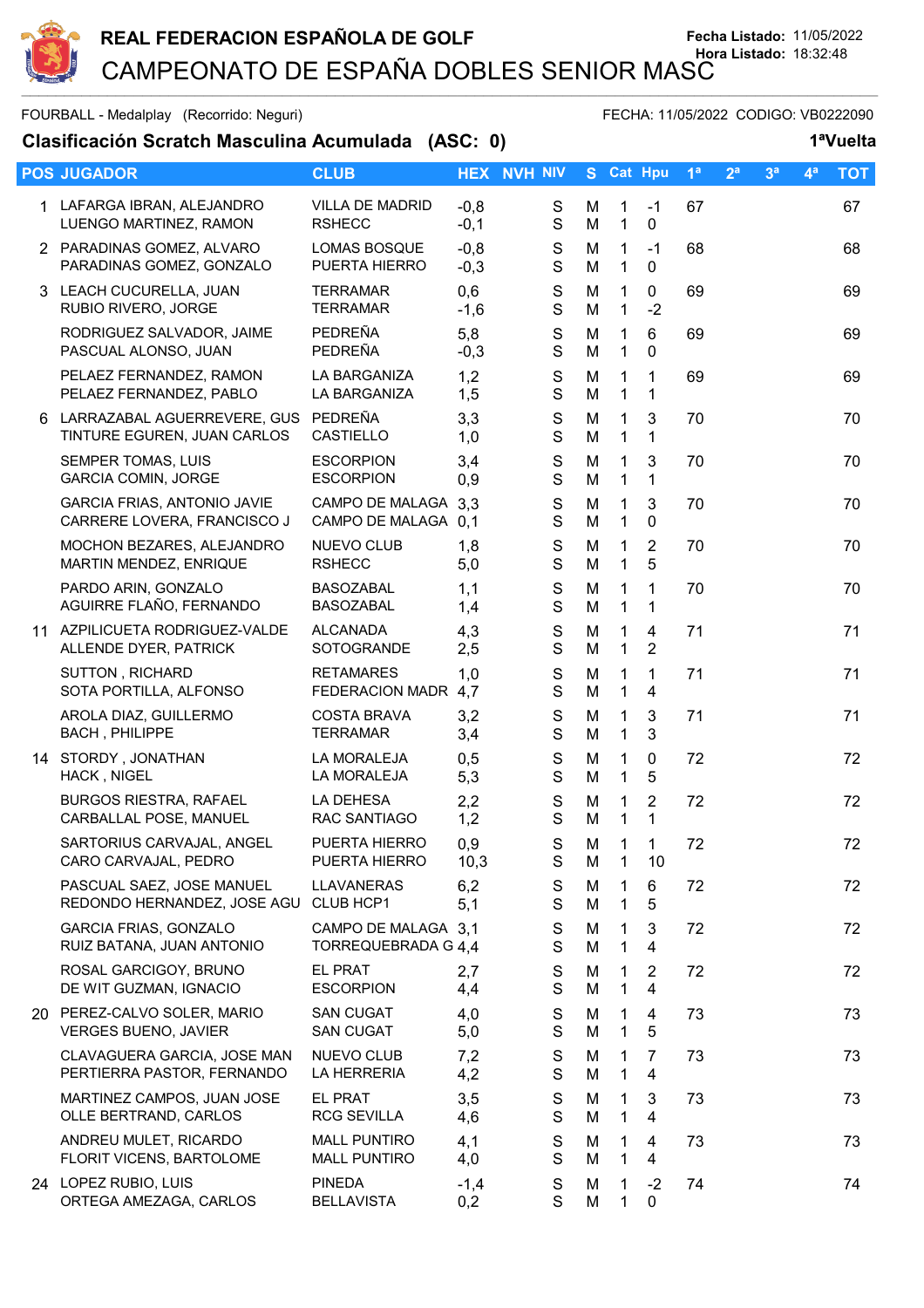

FOURBALL - Medalplay (Recorrido: Neguri) FECHA: 11/05/2022 CODIGO: VB0222090

## **Clasificación Scratch Masculina Acumulada (ASC: 0) 1ªVuelta**

|    | <b>POS JUGADOR</b>                                                 | <b>CLUB</b>                                   |                  | <b>HEX NVH NIV</b>         |        | S Cat Hpu                    |                                  | 1 <sup>a</sup> | 2 <sup>a</sup> | 3 <sup>a</sup> | $4^a$ | <b>TOT</b> |
|----|--------------------------------------------------------------------|-----------------------------------------------|------------------|----------------------------|--------|------------------------------|----------------------------------|----------------|----------------|----------------|-------|------------|
|    | 1 LAFARGA IBRAN, ALEJANDRO<br>LUENGO MARTINEZ, RAMON               | <b>VILLA DE MADRID</b><br><b>RSHECC</b>       | $-0,8$<br>$-0,1$ | S<br>$\mathsf S$           | M<br>M | $\mathbf{1}$<br>$\mathbf{1}$ | $-1$<br>$\pmb{0}$                | 67             |                |                |       | 67         |
|    | 2 PARADINAS GOMEZ, ALVARO<br>PARADINAS GOMEZ, GONZALO              | <b>LOMAS BOSQUE</b><br>PUERTA HIERRO          | $-0,8$<br>$-0,3$ | S<br>$\mathbf S$           | M<br>M | $\mathbf 1$<br>$\mathbf{1}$  | $-1$<br>0                        | 68             |                |                |       | 68         |
|    | 3 LEACH CUCURELLA, JUAN<br>RUBIO RIVERO, JORGE                     | <b>TERRAMAR</b><br><b>TERRAMAR</b>            | 0,6<br>$-1,6$    | ${\mathsf S}$<br>S         | M<br>M | $\mathbf{1}$<br>$\mathbf{1}$ | $\mathbf 0$<br>$-2$              | 69             |                |                |       | 69         |
|    | RODRIGUEZ SALVADOR, JAIME<br>PASCUAL ALONSO, JUAN                  | PEDREÑA<br>PEDREÑA                            | 5,8<br>$-0,3$    | S<br>$\mathbf S$           | M<br>M | $\mathbf 1$<br>1             | 6<br>$\mathbf{0}$                | 69             |                |                |       | 69         |
|    | PELAEZ FERNANDEZ, RAMON<br>PELAEZ FERNANDEZ, PABLO                 | LA BARGANIZA<br>LA BARGANIZA                  | 1,2<br>1,5       | $\mathbf S$<br>S           | M<br>M | 1<br>$\mathbf{1}$            | 1<br>$\mathbf 1$                 | 69             |                |                |       | 69         |
| 6. | LARRAZABAL AGUERREVERE, GUS<br>TINTURE EGUREN, JUAN CARLOS         | PEDREÑA<br><b>CASTIELLO</b>                   | 3,3<br>1,0       | S<br>S                     | M<br>M | 1<br>$\mathbf{1}$            | 3<br>$\mathbf 1$                 | 70             |                |                |       | 70         |
|    | SEMPER TOMAS, LUIS<br><b>GARCIA COMIN, JORGE</b>                   | <b>ESCORPION</b><br><b>ESCORPION</b>          | 3,4<br>0,9       | S<br>$\mathbf S$           | M<br>M | 1<br>$\mathbf{1}$            | 3<br>$\mathbf 1$                 | 70             |                |                |       | 70         |
|    | <b>GARCIA FRIAS, ANTONIO JAVIE</b><br>CARRERE LOVERA, FRANCISCO J  | CAMPO DE MALAGA 3,3<br><b>CAMPO DE MALAGA</b> | 0,1              | $\mathbf S$<br>S           | M<br>M | 1<br>$\mathbf 1$             | 3<br>$\mathbf 0$                 | 70             |                |                |       | 70         |
|    | MOCHON BEZARES, ALEJANDRO<br>MARTIN MENDEZ, ENRIQUE                | NUEVO CLUB<br><b>RSHECC</b>                   | 1,8<br>5,0       | $\mathbf S$<br>S           | M<br>M | 1<br>$\mathbf{1}$            | $\overline{2}$<br>5              | 70             |                |                |       | 70         |
|    | PARDO ARIN, GONZALO<br>AGUIRRE FLAÑO, FERNANDO                     | <b>BASOZABAL</b><br><b>BASOZABAL</b>          | 1,1<br>1,4       | $\mathbf S$<br>$\mathbf S$ | M<br>M | $\mathbf 1$<br>$\mathbf 1$   | $\mathbf 1$<br>1                 | 70             |                |                |       | 70         |
|    | 11 AZPILICUETA RODRIGUEZ-VALDE<br>ALLENDE DYER, PATRICK            | <b>ALCANADA</b><br>SOTOGRANDE                 | 4,3<br>2,5       | S<br>S                     | M<br>M | 1<br>$\mathbf{1}$            | 4<br>$\overline{2}$              | 71             |                |                |       | 71         |
|    | SUTTON, RICHARD<br>SOTA PORTILLA, ALFONSO                          | <b>RETAMARES</b><br>FEDERACION MADR 4,7       | 1,0              | ${\mathsf S}$<br>S         | M<br>M | 1<br>$\mathbf{1}$            | 1<br>$\overline{4}$              | 71             |                |                |       | 71         |
|    | AROLA DIAZ, GUILLERMO<br><b>BACH, PHILIPPE</b>                     | <b>COSTA BRAVA</b><br><b>TERRAMAR</b>         | 3,2<br>3,4       | $\mathbf S$<br>S           | M<br>M | 1<br>$\mathbf{1}$            | 3<br>3                           | 71             |                |                |       | 71         |
|    | 14 STORDY, JONATHAN<br>HACK, NIGEL                                 | LA MORALEJA<br>LA MORALEJA                    | 0,5<br>5,3       | $\mathbf S$<br>S           | M<br>M | 1<br>$\mathbf{1}$            | $\mathbf 0$<br>5                 | 72             |                |                |       | 72         |
|    | <b>BURGOS RIESTRA, RAFAEL</b><br>CARBALLAL POSE, MANUEL            | LA DEHESA<br>RAC SANTIAGO                     | 2,2<br>1,2       | $\mathbf S$<br>S           | M<br>M | 1<br>$\mathbf{1}$            | $\overline{2}$<br>$\mathbf{1}$   | 72             |                |                |       | 72         |
|    | SARTORIUS CARVAJAL, ANGEL<br>CARO CARVAJAL, PEDRO                  | PUERTA HIERRO<br>PUERTA HIERRO                | 0,9<br>10,3      | S<br>S                     | M<br>M | $\mathbf{1}$<br>1            | $\mathbf{1}$<br>10               | 72             |                |                |       | 72         |
|    | PASCUAL SAEZ, JOSE MANUEL<br>REDONDO HERNANDEZ, JOSE AGU CLUB HCP1 | <b>LLAVANERAS</b>                             | 6,2<br>5,1       | S<br>S                     | M<br>M | 1<br>$\mathbf 1$             | 6<br>5                           | 72             |                |                |       | 72         |
|    | <b>GARCIA FRIAS, GONZALO</b><br>RUIZ BATANA, JUAN ANTONIO          | CAMPO DE MALAGA 3.1<br>TORREQUEBRADA G 4,4    |                  | S<br>S                     | М<br>M | 1<br>$\mathbf{1}$            | 3<br>4                           | 72             |                |                |       | 72         |
|    | ROSAL GARCIGOY, BRUNO<br>DE WIT GUZMAN, IGNACIO                    | <b>EL PRAT</b><br><b>ESCORPION</b>            | 2,7<br>4,4       | S<br>$\mathbf S$           | M<br>M | 1<br>1                       | $\overline{2}$<br>$\overline{4}$ | 72             |                |                |       | 72         |
|    | 20 PEREZ-CALVO SOLER, MARIO<br><b>VERGES BUENO, JAVIER</b>         | <b>SAN CUGAT</b><br><b>SAN CUGAT</b>          | 4,0<br>5,0       | S<br>S                     | M<br>M | 1<br>1                       | 4<br>5                           | 73             |                |                |       | 73         |
|    | CLAVAGUERA GARCIA, JOSE MAN<br>PERTIERRA PASTOR, FERNANDO          | NUEVO CLUB<br>LA HERRERIA                     | 7,2<br>4,2       | S<br>S                     | M<br>M | 1<br>$\mathbf{1}$            | 7<br>4                           | 73             |                |                |       | 73         |
|    | MARTINEZ CAMPOS, JUAN JOSE<br>OLLE BERTRAND, CARLOS                | <b>EL PRAT</b><br><b>RCG SEVILLA</b>          | 3,5<br>4,6       | S<br>S                     | М<br>M | 1<br>1                       | 3<br>4                           | 73             |                |                |       | 73         |
|    | ANDREU MULET, RICARDO<br>FLORIT VICENS, BARTOLOME                  | <b>MALL PUNTIRO</b><br><b>MALL PUNTIRO</b>    | 4,1<br>4,0       | S<br>S                     | М<br>M | 1<br>$\mathbf{1}$            | 4<br>$\overline{4}$              | 73             |                |                |       | 73         |
|    | 24 LOPEZ RUBIO, LUIS<br>ORTEGA AMEZAGA, CARLOS                     | <b>PINEDA</b><br><b>BELLAVISTA</b>            | $-1,4$<br>0,2    | S<br>S                     | M<br>M | 1<br>1                       | $-2$<br>$\pmb{0}$                | 74             |                |                |       | 74         |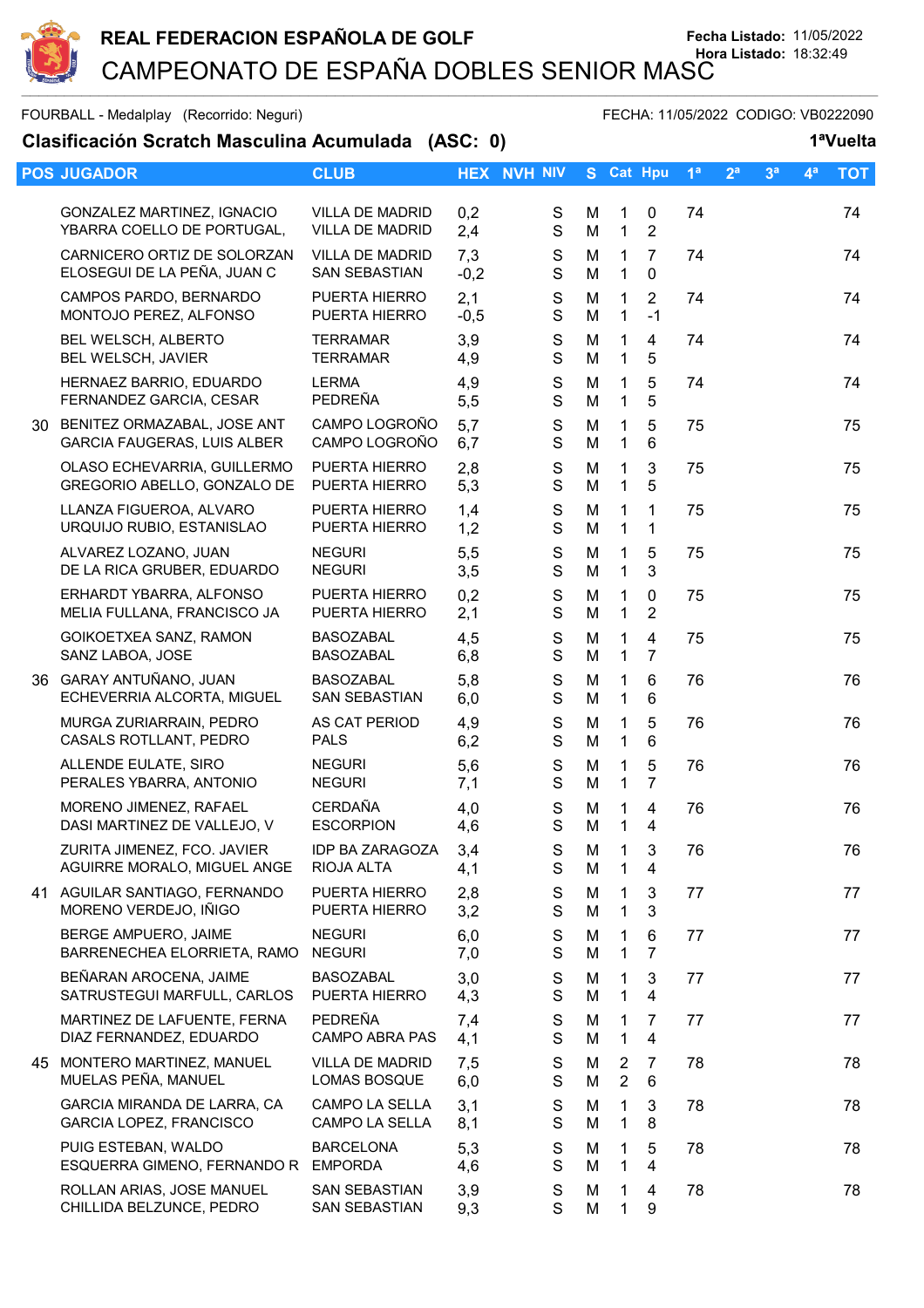

FOURBALL - Medalplay (Recorrido: Neguri) FECHA: 11/05/2022 CODIGO: VB0222090

| Clasificación Scratch Masculina Acumulada (ASC: 0) |                                                               |                                                  |               |                              |        |                              |                                           |                |                |                | 1ªVuelta       |            |  |
|----------------------------------------------------|---------------------------------------------------------------|--------------------------------------------------|---------------|------------------------------|--------|------------------------------|-------------------------------------------|----------------|----------------|----------------|----------------|------------|--|
|                                                    | <b>POS JUGADOR</b>                                            | <b>CLUB</b>                                      |               | <b>HEX NVH NIV</b>           |        |                              | S Cat Hpu                                 | 1 <sup>a</sup> | 2 <sup>a</sup> | 3 <sup>a</sup> | 4 <sup>a</sup> | <b>TOT</b> |  |
|                                                    | GONZALEZ MARTINEZ, IGNACIO<br>YBARRA COELLO DE PORTUGAL,      | <b>VILLA DE MADRID</b><br><b>VILLA DE MADRID</b> | 0,2<br>2,4    | $\mathbf S$<br>$\mathsf S$   | M<br>M | 1<br>$\mathbf{1}$            | 0<br>$\overline{2}$                       | 74             |                |                |                | 74         |  |
|                                                    | CARNICERO ORTIZ DE SOLORZAN<br>ELOSEGUI DE LA PEÑA, JUAN C    | <b>VILLA DE MADRID</b><br>SAN SEBASTIAN          | 7,3<br>$-0,2$ | $\mathbf S$<br>$\mathbf S$   | M<br>M | $\mathbf{1}$<br>$\mathbf{1}$ | $\overline{7}$<br>$\mathbf 0$             | 74             |                |                |                | 74         |  |
|                                                    | CAMPOS PARDO, BERNARDO<br>MONTOJO PEREZ, ALFONSO              | PUERTA HIERRO<br>PUERTA HIERRO                   | 2,1<br>$-0,5$ | S<br>$\mathbf S$             | M<br>M | 1<br>$\mathbf 1$             | $\overline{2}$<br>$-1$                    | 74             |                |                |                | 74         |  |
|                                                    | BEL WELSCH, ALBERTO<br>BEL WELSCH, JAVIER                     | <b>TERRAMAR</b><br><b>TERRAMAR</b>               | 3,9<br>4,9    | ${\mathsf S}$<br>$\mathbf S$ | M<br>M | 1<br>$\mathbf 1$             | $\overline{\mathbf{4}}$<br>5              | 74             |                |                |                | 74         |  |
|                                                    | HERNAEZ BARRIO, EDUARDO<br>FERNANDEZ GARCIA, CESAR            | <b>LERMA</b><br>PEDREÑA                          | 4,9<br>5,5    | S<br>$\mathbf S$             | M<br>M | 1<br>1                       | 5<br>5                                    | 74             |                |                |                | 74         |  |
|                                                    | 30 BENITEZ ORMAZABAL, JOSE ANT<br>GARCIA FAUGERAS, LUIS ALBER | CAMPO LOGROÑO<br>CAMPO LOGROÑO                   | 5,7<br>6,7    | S<br>$\mathbf S$             | M<br>M | 1<br>$\mathbf{1}$            | 5<br>6                                    | 75             |                |                |                | 75         |  |
|                                                    | OLASO ECHEVARRIA, GUILLERMO<br>GREGORIO ABELLO, GONZALO DE    | PUERTA HIERRO<br>PUERTA HIERRO                   | 2,8<br>5,3    | $\mathbf S$<br>$\mathbf S$   | M<br>M | 1<br>1                       | 3<br>5                                    | 75             |                |                |                | 75         |  |
|                                                    | LLANZA FIGUEROA, ALVARO<br>URQUIJO RUBIO, ESTANISLAO          | PUERTA HIERRO<br>PUERTA HIERRO                   | 1,4<br>1,2    | S<br>$\mathbf S$             | M<br>M | 1<br>$\mathbf 1$             | 1<br>1                                    | 75             |                |                |                | 75         |  |
|                                                    | ALVAREZ LOZANO, JUAN<br>DE LA RICA GRUBER, EDUARDO            | <b>NEGURI</b><br><b>NEGURI</b>                   | 5,5<br>3,5    | $\mathsf S$<br>$\mathbf S$   | M<br>M | 1<br>1                       | 5<br>3                                    | 75             |                |                |                | 75         |  |
|                                                    | ERHARDT YBARRA, ALFONSO<br>MELIA FULLANA, FRANCISCO JA        | PUERTA HIERRO<br>PUERTA HIERRO                   | 0,2<br>2,1    | $\mathbf S$<br>$\mathsf S$   | M<br>M | 1<br>1                       | 0<br>2                                    | 75             |                |                |                | 75         |  |
|                                                    | GOIKOETXEA SANZ, RAMON<br>SANZ LABOA, JOSE                    | <b>BASOZABAL</b><br><b>BASOZABAL</b>             | 4,5<br>6,8    | ${\mathbb S}$<br>$\mathbf S$ | M<br>M | 1<br>$\mathbf 1$             | $\overline{\mathbf{4}}$<br>$\overline{7}$ | 75             |                |                |                | 75         |  |
|                                                    | 36 GARAY ANTUÑANO, JUAN<br>ECHEVERRIA ALCORTA, MIGUEL         | <b>BASOZABAL</b><br>SAN SEBASTIAN                | 5,8<br>6,0    | S<br>$\mathbf S$             | M<br>М | 1<br>1                       | 6<br>6                                    | 76             |                |                |                | 76         |  |
|                                                    | MURGA ZURIARRAIN, PEDRO<br>CASALS ROTLLANT, PEDRO             | AS CAT PERIOD<br><b>PALS</b>                     | 4,9<br>6,2    | ${\mathsf S}$<br>$\mathbf S$ | M<br>M | 1<br>$\mathbf{1}$            | 5<br>6                                    | 76             |                |                |                | 76         |  |
|                                                    | ALLENDE EULATE, SIRO<br>PERALES YBARRA, ANTONIO               | <b>NEGURI</b><br><b>NEGURI</b>                   | 5,6<br>7,1    | $\mathbf S$<br>${\mathsf S}$ | М<br>M | $\mathbf{1}$<br>1            | 5<br>$\overline{7}$                       | 76             |                |                |                | 76         |  |
|                                                    | MORENO JIMENEZ, RAFAEL<br>DASI MARTINEZ DE VALLEJO, V         | <b>CERDAÑA</b><br><b>ESCORPION</b>               | 4,0<br>4,6    | S<br>$\mathsf S$             | М<br>M | $\mathbf 1$<br>$\mathbf{1}$  | 4<br>$\overline{\mathbf{4}}$              | 76             |                |                |                | 76         |  |
|                                                    | ZURITA JIMENEZ, FCO. JAVIER<br>AGUIRRE MORALO, MIGUEL ANGE    | <b>IDP BA ZARAGOZA</b><br>RIOJA ALTA             | 3,4<br>4,1    | S<br>$\mathbf S$             | М<br>M | 1<br>$\mathbf 1$             | 3<br>$\overline{\mathbf{4}}$              | 76             |                |                |                | 76         |  |
|                                                    | 41 AGUILAR SANTIAGO, FERNANDO<br>MORENO VERDEJO, IÑIGO        | PUERTA HIERRO<br>PUERTA HIERRO                   | 2,8<br>3,2    | S<br>S                       | М<br>M | 1<br>1                       | 3<br>3                                    | 77             |                |                |                | 77         |  |
|                                                    | BERGE AMPUERO, JAIME<br>BARRENECHEA ELORRIETA, RAMO           | <b>NEGURI</b><br><b>NEGURI</b>                   | 6,0<br>7,0    | ${\mathsf S}$<br>$\mathbf S$ | М<br>М | 1<br>1                       | 6<br>$\overline{7}$                       | 77             |                |                |                | 77         |  |
|                                                    | BEÑARAN AROCENA, JAIME<br>SATRUSTEGUI MARFULL, CARLOS         | <b>BASOZABAL</b><br>PUERTA HIERRO                | 3,0<br>4,3    | S<br>S                       | M<br>M | 1<br>1                       | 3<br>$\overline{4}$                       | 77             |                |                |                | 77         |  |
|                                                    | MARTINEZ DE LAFUENTE, FERNA<br>DIAZ FERNANDEZ, EDUARDO        | PEDREÑA<br><b>CAMPO ABRA PAS</b>                 | 7,4<br>4,1    | ${\mathbb S}$<br>S           | M<br>M | 1<br>$\mathbf 1$             | 7<br>$\overline{4}$                       | 77             |                |                |                | 77         |  |
|                                                    | 45 MONTERO MARTINEZ, MANUEL<br>MUELAS PEÑA, MANUEL            | <b>VILLA DE MADRID</b><br>LOMAS BOSQUE           | 7,5<br>6,0    | S<br>$\mathbf S$             | М<br>М | 2<br>$\overline{2}$          | 7<br>6                                    | 78             |                |                |                | 78         |  |
|                                                    | GARCIA MIRANDA DE LARRA, CA<br>GARCIA LOPEZ, FRANCISCO        | <b>CAMPO LA SELLA</b><br>CAMPO LA SELLA          | 3,1<br>8,1    | S<br>S                       | M<br>M | 1<br>$\mathbf{1}$            | 3<br>8                                    | 78             |                |                |                | 78         |  |
|                                                    | PUIG ESTEBAN, WALDO<br>ESQUERRA GIMENO, FERNANDO R            | <b>BARCELONA</b><br><b>EMPORDA</b>               | 5,3<br>4,6    | $\mathbf S$<br>$\mathbf S$   | M<br>M | 1<br>1                       | 5<br>4                                    | 78             |                |                |                | 78         |  |
|                                                    | ROLLAN ARIAS, JOSE MANUEL<br>CHILLIDA BELZUNCE, PEDRO         | SAN SEBASTIAN<br>SAN SEBASTIAN                   | 3,9<br>9,3    | S<br>S                       | M<br>M | 1<br>$\mathbf{1}$            | 4<br>$\boldsymbol{9}$                     | 78             |                |                |                | 78         |  |